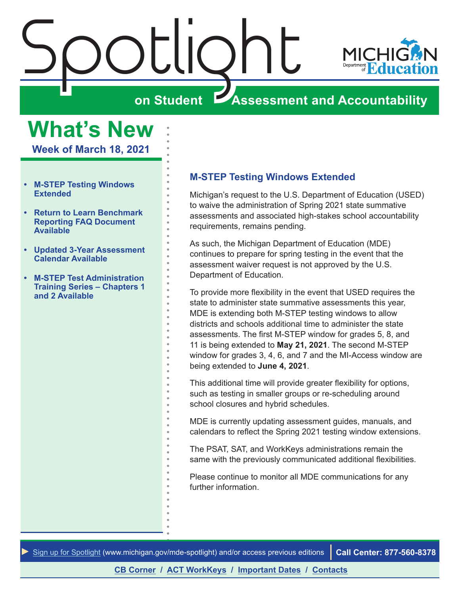<span id="page-0-0"></span>



# **on Student Assessment and Accountability**

**What's New**

**Week of March 18, 2021**

- **• M-STEP Testing Windows Extended**
- **• [Return to Learn Benchmark](#page-1-0)  [Reporting FAQ Document](#page-1-0)  [Available](#page-1-0)**
- **• [Updated 3-Year Assessment](#page-1-0)  [Calendar Available](#page-1-0)**
- **• [M-STEP Test Administration](#page-1-0)  [Training Series – Chapters 1](#page-1-0)  [and 2 Available](#page-1-0)**

#### **M-STEP Testing Windows Extended**

Michigan's request to the U.S. Department of Education (USED) to waive the administration of Spring 2021 state summative assessments and associated high-stakes school accountability requirements, remains pending.

As such, the Michigan Department of Education (MDE) continues to prepare for spring testing in the event that the assessment waiver request is not approved by the U.S. Department of Education.

To provide more flexibility in the event that USED requires the state to administer state summative assessments this year, MDE is extending both M-STEP testing windows to allow districts and schools additional time to administer the state assessments. The first M-STEP window for grades 5, 8, and 11 is being extended to **May 21, 2021**. The second M-STEP window for grades 3, 4, 6, and 7 and the MI-Access window are being extended to **June 4, 2021**.

This additional time will provide greater flexibility for options, such as testing in smaller groups or re-scheduling around school closures and hybrid schedules.

MDE is currently updating assessment guides, manuals, and calendars to reflect the Spring 2021 testing window extensions.

The PSAT, SAT, and WorkKeys administrations remain the same with the previously communicated additional flexibilities.

Please continue to monitor all MDE communications for any further information.

*►* [Sign up for Spotlight](https://public.govdelivery.com/accounts/MIMDE/subscriber/new) ([www.michigan.gov/mde](www.michigan.gov/mde-spotlight)-spotlight) and/or access previous editions **Call Center: 877-560-8378**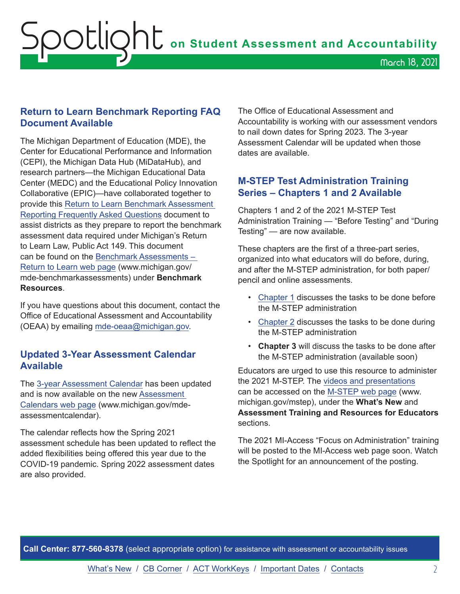#### <span id="page-1-0"></span>**Return to Learn Benchmark Reporting FAQ Document Available**

The Michigan Department of Education (MDE), the Center for Educational Performance and Information (CEPI), the Michigan Data Hub (MiDataHub), and research partners—the Michigan Educational Data Center (MEDC) and the Educational Policy Innovation Collaborative (EPIC)—have collaborated together to provide this [Return to Learn Benchmark Assessment](https://www.michigan.gov/documents/mde/Return_to_Learn_Benchmark_Assessment_Reporting_FAQ_719786_7.pdf)  [Reporting Frequently Asked Questions](https://www.michigan.gov/documents/mde/Return_to_Learn_Benchmark_Assessment_Reporting_FAQ_719786_7.pdf) document to assist districts as they prepare to report the benchmark assessment data required under Michigan's Return to Learn Law, Public Act 149. This document can be found on the [Benchmark Assessments –](https://www.michigan.gov/mde-benchmarkassessments)  [Return to Learn web page](https://www.michigan.gov/mde-benchmarkassessments) (www.michigan.gov/ mde-benchmarkassessments) under **Benchmark Resources**.

If you have questions about this document, contact the Office of Educational Assessment and Accountability (OEAA) by emailing [mde-oeaa@michigan.gov](mailto:mde-oeaa%40michigan.gov?subject=).

#### **Updated 3-Year Assessment Calendar Available**

The [3-year Assessment Calendar](https://www.michigan.gov/documents/mde/3-Year_OEAA_Assessment_Calendar_719847_7.pdf) has been updated and is now available on the new [Assessment](http://www.michigan.gov/mde-assessmentcalendar)  [Calendars web page](http://www.michigan.gov/mde-assessmentcalendar) (www.michigan.gov/mdeassessmentcalendar).

The calendar reflects how the Spring 2021 assessment schedule has been updated to reflect the added flexibilities being offered this year due to the COVID-19 pandemic. Spring 2022 assessment dates are also provided.

The Office of Educational Assessment and Accountability is working with our assessment vendors to nail down dates for Spring 2023. The 3-year Assessment Calendar will be updated when those dates are available.

#### **M-STEP Test Administration Training Series – Chapters 1 and 2 Available**

Chapters 1 and 2 of the 2021 M-STEP Test Administration Training — "Before Testing" and "During Testing" — are now available.

These chapters are the first of a three-part series, organized into what educators will do before, during, and after the M-STEP administration, for both paper/ pencil and online assessments.

- [Chapter 1](https://www.youtube.com/watch?v=EQI90EogPC0) discusses the tasks to be done before the M-STEP administration
- [Chapter 2](https://www.youtube.com/watch?v=_D81DSKn_iE) discusses the tasks to be done during the M-STEP administration
- **Chapter 3** will discuss the tasks to be done after the M-STEP administration (available soon)

Educators are urged to use this resource to administer the 2021 M-STEP. The [videos and presentations](https://www.michigan.gov/mde/0,4615,7-140-22709_70117-377598--,00.html) can be accessed on the [M-STEP web page](www.michigan.gov/mstep) (www. michigan.gov/mstep), under the **What's New** and **Assessment Training and Resources for Educators** sections.

The 2021 MI-Access "Focus on Administration" training will be posted to the MI-Access web page soon. Watch the Spotlight for an announcement of the posting.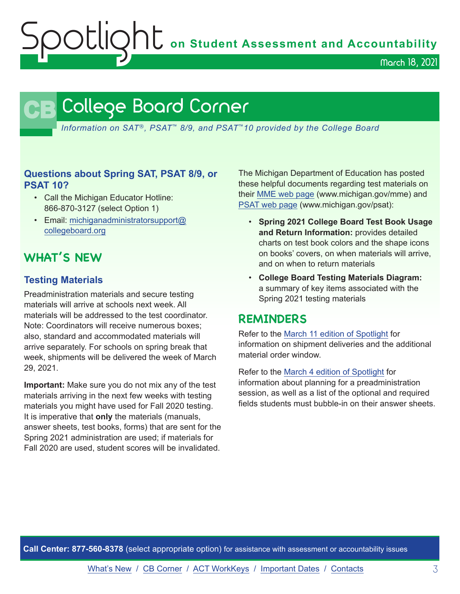OUQhU on Student Assessment and Accountability

March 18, 2021

# <span id="page-2-0"></span>**CB** College Board Corner

*Information on SAT*®*, PSAT*™ *8/9, and PSAT*™*10 provided by the College Board*

#### **Questions about Spring SAT, PSAT 8/9, or PSAT 10?**

- Call the Michigan Educator Hotline: 866-870-3127 (select Option 1)
- Email: [michiganadministratorsupport@](mailto:michiganadministratorsupport%40collegeboard.org?subject=) [collegeboard.org](mailto:michiganadministratorsupport%40collegeboard.org?subject=)

# **WHAT'S NEW**

#### **Testing Materials**

Preadministration materials and secure testing materials will arrive at schools next week. All materials will be addressed to the test coordinator. Note: Coordinators will receive numerous boxes; also, standard and accommodated materials will arrive separately. For schools on spring break that week, shipments will be delivered the week of March 29, 2021.

**Important:** Make sure you do not mix any of the test materials arriving in the next few weeks with testing materials you might have used for Fall 2020 testing. It is imperative that **only** the materials (manuals, answer sheets, test books, forms) that are sent for the Spring 2021 administration are used; if materials for Fall 2020 are used, student scores will be invalidated.

The Michigan Department of Education has posted these helpful documents regarding test materials on their [MME web page](www.michigan.gov/mme) (www.michigan.gov/mme) and [PSAT web page](http://www.michigan.gov/psat) (www.michigan.gov/psat):

- **Spring 2021 College Board Test Book Usage and Return Information:** provides detailed charts on test book colors and the shape icons on books' covers, on when materials will arrive, and on when to return materials
- **College Board Testing Materials Diagram:**  a summary of key items associated with the Spring 2021 testing materials

# **REMINDERS**

Refer to the [March 11 edition of Spotlight](https://www.michigan.gov/documents/mde/Spotlight_3-11-21_719223_7.pdf) for information on shipment deliveries and the additional material order window.

Refer to the [March 4 edition of Spotlight](https://www.michigan.gov/documents/mde/Spotlight_3-4-21_718250_7.pdf) for information about planning for a preadministration session, as well as a list of the optional and required fields students must bubble-in on their answer sheets.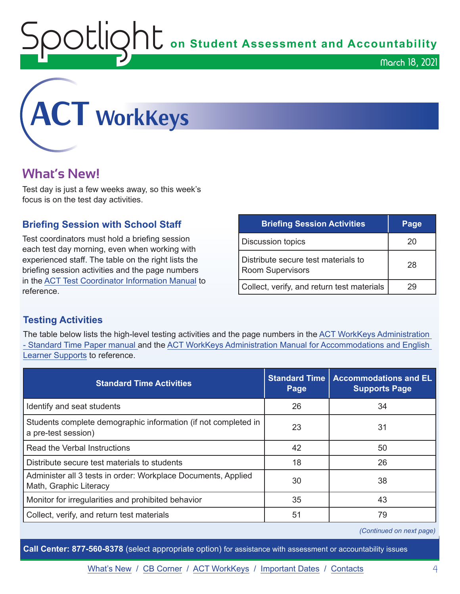Spotlight on Student Assessment and Accountability

March 18, 2021

<span id="page-3-0"></span>

# **What's New!**

Test day is just a few weeks away, so this week's focus is on the test day activities.

#### **Briefing Session with School Staff**

Test coordinators must hold a briefing session each test day morning, even when working with experienced staff. The table on the right lists the briefing session activities and the page numbers in the [ACT Test Coordinator Information Manual](https://www.act.org/content/dam/act/secured/documents/pdfs/state-district-test-coordinator-paper-test.pdf) to reference.

| <b>Briefing Session Activities</b>                             | Page |
|----------------------------------------------------------------|------|
| <b>Discussion topics</b>                                       | 20   |
| Distribute secure test materials to<br><b>Room Supervisors</b> | 28   |
| Collect, verify, and return test materials                     | 29   |

#### **Testing Activities**

The table below lists the high-level testing activities and the page numbers in the [ACT WorkKeys Administration](http://www.act.org/content/dam/act/secured/documents/pdfs/WK-Admin-SD-Std-Time-Paper-Secured.pdf)  [- Standard Time Paper manual a](http://www.act.org/content/dam/act/secured/documents/pdfs/WK-Admin-SD-Std-Time-Paper-Secured.pdf)nd the [ACT WorkKeys Administration Manual for Accommodations and English](http://www.act.org/content/dam/act/secured/documents/pdfs/WK-Admin-SD-Accoms-Secured.pdf)  [Learner Supports](http://www.act.org/content/dam/act/secured/documents/pdfs/WK-Admin-SD-Accoms-Secured.pdf) to reference.

| <b>Standard Time Activities</b>                                                         | <b>Standard Time</b><br>Page | <b>Accommodations and EL</b><br><b>Supports Page</b> |
|-----------------------------------------------------------------------------------------|------------------------------|------------------------------------------------------|
| Identify and seat students                                                              | 26                           | 34                                                   |
| Students complete demographic information (if not completed in<br>a pre-test session)   | 23                           | 31                                                   |
| Read the Verbal Instructions                                                            | 42                           | 50                                                   |
| Distribute secure test materials to students                                            | 18                           | 26                                                   |
| Administer all 3 tests in order: Workplace Documents, Applied<br>Math, Graphic Literacy | 30                           | 38                                                   |
| Monitor for irregularities and prohibited behavior                                      | 35                           | 43                                                   |
| Collect, verify, and return test materials                                              | 51                           | 79                                                   |

*(Continued on next page)*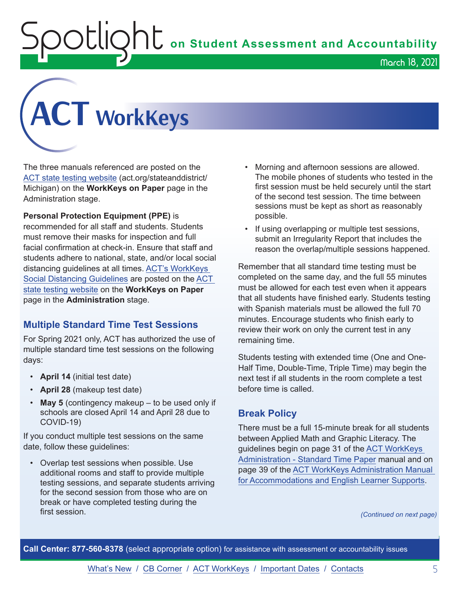$\mathop{\rm U}\nolimits\mathop{\rm U}\nolimits\mathop{\rm O}\nolimits$  on Student Assessment and Accountability

March 18, 2021



The three manuals referenced are posted on the [ACT state testing website](http://www.act.org/stateanddistrict/michigan) (act.org/stateanddistrict/ Michigan) on the **WorkKeys on Paper** page in the Administration stage.

**Personal Protection Equipment (PPE)** is recommended for all staff and students. Students must remove their masks for inspection and full facial confirmation at check-in. Ensure that staff and students adhere to national, state, and/or local social distancing guidelines at all times. [ACT's WorkKeys](https://www.act.org/content/dam/act/secured/documents/pdfs/ACT-WorkKeys-Social-Distancing-Guidelines.pdf)  [Social Distancing Guidelines](https://www.act.org/content/dam/act/secured/documents/pdfs/ACT-WorkKeys-Social-Distancing-Guidelines.pdf) are posted on the [ACT](http://www.act.org/stateanddistrict/michigan)  [state testing website](http://www.act.org/stateanddistrict/michigan) on the **WorkKeys on Paper** page in the **Administration** stage.

#### **Multiple Standard Time Test Sessions**

For Spring 2021 only, ACT has authorized the use of multiple standard time test sessions on the following days:

- **April 14** (initial test date)
- **April 28** (makeup test date)
- **May 5** (contingency makeup to be used only if schools are closed April 14 and April 28 due to COVID-19)

If you conduct multiple test sessions on the same date, follow these guidelines:

• Overlap test sessions when possible. Use additional rooms and staff to provide multiple testing sessions, and separate students arriving for the second session from those who are on break or have completed testing during the first session.

- Morning and afternoon sessions are allowed. The mobile phones of students who tested in the first session must be held securely until the start of the second test session. The time between sessions must be kept as short as reasonably possible.
- If using overlapping or multiple test sessions, submit an Irregularity Report that includes the reason the overlap/multiple sessions happened.

Remember that all standard time testing must be completed on the same day, and the full 55 minutes must be allowed for each test even when it appears that all students have finished early. Students testing with Spanish materials must be allowed the full 70 minutes. Encourage students who finish early to review their work on only the current test in any remaining time.

Students testing with extended time (One and One-Half Time, Double-Time, Triple Time) may begin the next test if all students in the room complete a test before time is called.

#### **Break Policy**

There must be a full 15-minute break for all students between Applied Math and Graphic Literacy. The guidelines begin on page 31 of the [ACT WorkKeys](http://www.act.org/content/dam/act/secured/documents/pdfs/WK-Admin-SD-Std-Time-Paper-Secured.pdf)  [Administration - Standard Time Paper](http://www.act.org/content/dam/act/secured/documents/pdfs/WK-Admin-SD-Std-Time-Paper-Secured.pdf) manual and on page 39 of the [ACT WorkKeys Administration Manual](http://www.act.org/content/dam/act/secured/documents/pdfs/WK-Admin-SD-Accoms-Secured.pdf)  [for Accommodations and English Learner Supports](http://www.act.org/content/dam/act/secured/documents/pdfs/WK-Admin-SD-Accoms-Secured.pdf).

*(Continued on next page)*

**Call Center: 877-560-8378** (select appropriate option) for assistance with assessment or accountability issues

[What's New](#page-0-0) / [CB Corner](#page-2-0) / [ACT WorkKeys](#page-3-0) / [Important Dates](#page-6-0) / [Contacts](#page-7-0) 5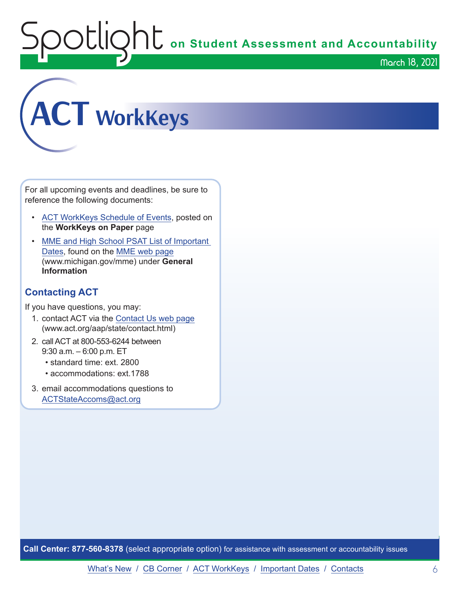**OOUQNU** on Student Assessment and Accountability

March 18, 2021



For all upcoming events and deadlines, be sure to reference the following documents:

- [ACT WorkKeys Schedule of Events](https://content.act.org/michigan/r/YWy2bAxclTdZAcOxrrNErw/root), posted on the **WorkKeys on Paper** page
- MME and High School PSAT List of Important [Dates](https://www.michigan.gov/mde/0,4615,7-140-22709_105605---,00.html), found on the [MME web page](www.michigan.gov/mme) (www.michigan.gov/mme) under **General Information**

## **Contacting ACT**

If you have questions, you may:

- 1. contact ACT via the [Contact Us web page](http://www.act.org/aap/state/contact.html) [\(www.act.org/aap/state/contact.html\)](https://www.act.org/aap/state/contact.html)
- 2. call ACT at 800-553-6244 between 9:30 a.m. – 6:00 p.m. ET
	- standard time: ext. 2800
	- accommodations: ext.1788
- 3. email accommodations questions to [ACTStateAccoms@act.org](mailto:ACTStateAccoms%40act.org?subject=)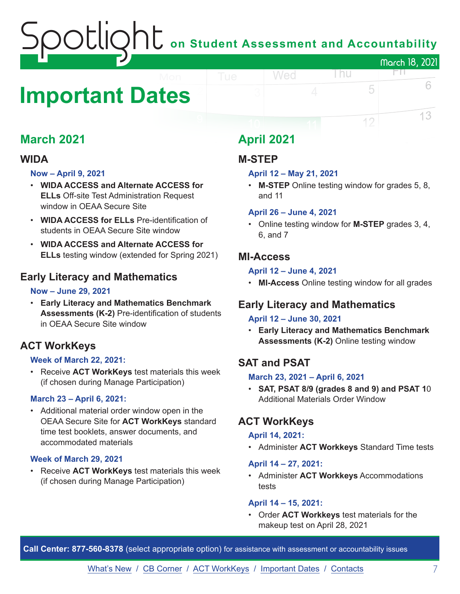# Spotlight **on Student Assessment and Accountability** March 18, 2021

# <span id="page-6-0"></span>**Important Dates**

# **March 2021**

## **WIDA**

#### **Now – April 9, 2021**

- **WIDA ACCESS and Alternate ACCESS for ELLs** Off-site Test Administration Request window in OEAA Secure Site
- **WIDA ACCESS for ELLs** Pre-identification of students in OEAA Secure Site window
- **WIDA ACCESS and Alternate ACCESS for ELLs** testing window (extended for Spring 2021)

## **Early Literacy and Mathematics**

#### **Now – June 29, 2021**

• **Early Literacy and Mathematics Benchmark Assessments (K-2)** Pre-identification of students in OEAA Secure Site window

# **ACT WorkKeys**

#### **Week of March 22, 2021:**

• Receive **ACT WorkKeys** test materials this week (if chosen during Manage Participation)

#### **March 23 – April 6, 2021:**

• Additional material order window open in the OEAA Secure Site for **ACT WorkKeys** standard time test booklets, answer documents, and accommodated materials

#### **Week of March 29, 2021**

• Receive **ACT WorkKeys** test materials this week (if chosen during Manage Participation)

# **April 2021**

## **M-STEP**

#### **April 12 – May 21, 2021**

Wed

• **M-STEP** Online testing window for grades 5, 8, and 11

l nu

5

12

FIL.

6

13

#### **April 26 – June 4, 2021**

• Online testing window for **M-STEP** grades 3, 4, 6, and 7

#### **MI-Access**

#### **April 12 – June 4, 2021**

• **MI-Access** Online testing window for all grades

# **Early Literacy and Mathematics**

#### **April 12 – June 30, 2021**

• **Early Literacy and Mathematics Benchmark Assessments (K-2)** Online testing window

# **SAT and PSAT**

#### **March 23, 2021 – April 6, 2021**

• **SAT, PSAT 8/9 (grades 8 and 9) and PSAT 1**0 Additional Materials Order Window

## **ACT WorkKeys**

#### **April 14, 2021:**

• Administer **ACT Workkeys** Standard Time tests

#### **April 14 – 27, 2021:**

• Administer **ACT Workkeys** Accommodations tests

#### **April 14 – 15, 2021:**

• Order **ACT Workkeys** test materials for the makeup test on April 28, 2021